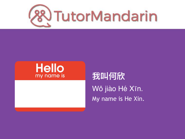

### **Hello** my name is

### 我叫何欣 Wǒ jiào Hé Xīn. My name is He Xin.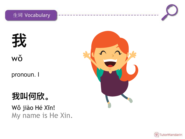



pronoun. I

### 我叫何欣。

Wǒ jiào Hé Xīn! My name is He Xin.



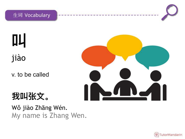

**叫** jiào

v. to be called

### **我叫张⽂。**

Wǒ jiào Zhāng Wén. My name is Zhang Wen.

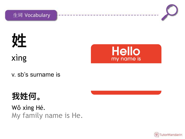



# **姓** xìng



v. sb's surname is

### **我姓何。**

Wǒ xìng Hé. My family name is He.

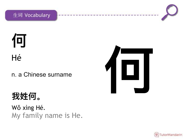

# 何 Hé

#### n. a Chinese surname

### 我姓何。

Wǒ xìng Hé. My family name is He.



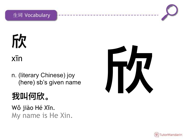

# 欣

 $x\bar{1}n$ 

n. (literary Chinese) joy (here) sb's given name

### 我叫何欣。

Wǒ jiào Hé Xīn. My name is He Xin.



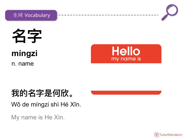



名字 míngzi

n. name



### 我的名字是何欣。

Wǒ de míngzi shì Hé Xīn.

My name is He Xin.

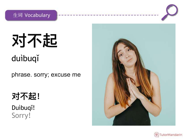

对不起 duibuqi

phrase. sorry; excuse me

### 对不起!

Duibuqi! Sorry!



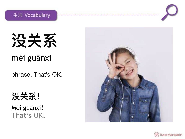



### méi guānxi

phrase. That's OK.

### **没关系!**

Méi guānxi! That's OK!



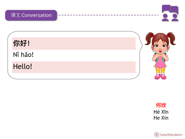

你好! Nǐ hǎo! Hello!



何欣 Hé Xīn He Xin

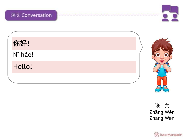

你好! Nǐ hǎo! Hello!



张文 Zhāng Wén **Zhang Wen** 

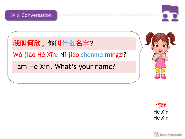

**我叫何欣。你叫什么名字?**

Wǒ jiào Hé Xīn. Nǐ jiào shénme míngzi?

I am He Xin. What's your name?



**何欣** Hé Xīn He Xin

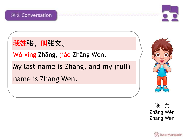

我姓张,叫张文。

Wǒ xìng Zhāng, jiào Zhāng Wén.

My last name is Zhang, and my (full) name is Zhang Wen.



张 文 Zhāng Wén Zhang Wen

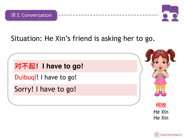



### Situation: He Xin's friend is asking her to go.

对不起! I have to go! Duibuqi! I have to go! Sorry! I have to go!



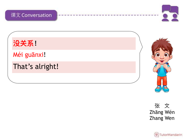

**没关系!**

Méi guānxi!

That's alright!



张 文 Zhāng Wén Zhang Wen

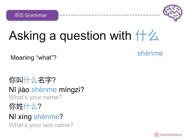语法 Grammar



# Asking a question with 什么

shénme Meaning "what"?

你叫什么名字? Nǐ jiào shénme míngzi? What's your name? 你姓什么? Nǐ xìng shénme? What's your last name?

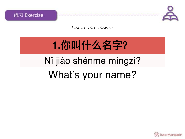



*Listen and answer*

# **1.你叫什么名字?**

## Nǐ jiào shénme míngzi?

### What's your name?

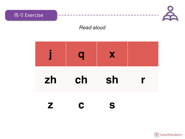

#### **Read aloud**

|    | a  | X  |   |
|----|----|----|---|
| zh | ch | sh | r |
|    |    | S  |   |

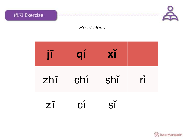

|             | qí  | XĬ  |    |
|-------------|-----|-----|----|
| $zh\bar{1}$ | chí | shǐ | rì |
| ΖI          | CÍ. | SĬ  |    |

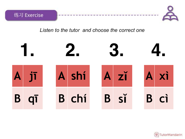



#### Listen to the tutor and choose the correct one



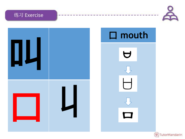#### 练习 Exercise





**& TutorMandarin**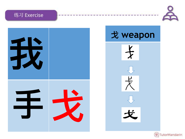







**& TutorMandarin**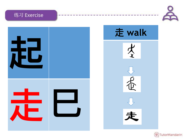#### 练习 Exercise





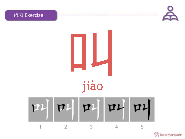

#### $PL$   $\Pi$  $TL$  $PI$  $72$  $\overline{2}$ 3 4 5 1



练习 Exercise

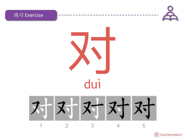





对对对 

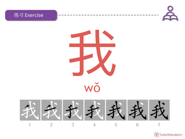